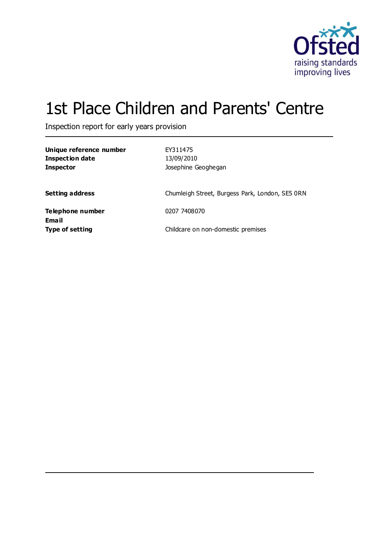

# 1st Place Children and Parents' Centre

Inspection report for early years provision

| Unique reference number<br><b>Inspection date</b><br><b>Inspector</b> | EY311475<br>13/09/2010<br>Josephine Geoghegan   |
|-----------------------------------------------------------------------|-------------------------------------------------|
| <b>Setting address</b>                                                | Chumleigh Street, Burgess Park, London, SE5 0RN |
| Telephone number                                                      | 0207 7408070                                    |
| Email<br><b>Type of setting</b>                                       | Childcare on non-domestic premises              |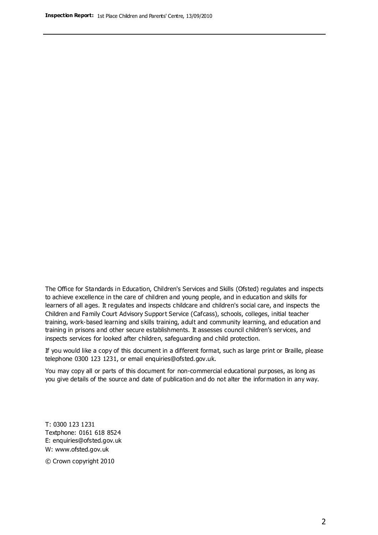The Office for Standards in Education, Children's Services and Skills (Ofsted) regulates and inspects to achieve excellence in the care of children and young people, and in education and skills for learners of all ages. It regulates and inspects childcare and children's social care, and inspects the Children and Family Court Advisory Support Service (Cafcass), schools, colleges, initial teacher training, work-based learning and skills training, adult and community learning, and education and training in prisons and other secure establishments. It assesses council children's services, and inspects services for looked after children, safeguarding and child protection.

If you would like a copy of this document in a different format, such as large print or Braille, please telephone 0300 123 1231, or email enquiries@ofsted.gov.uk.

You may copy all or parts of this document for non-commercial educational purposes, as long as you give details of the source and date of publication and do not alter the information in any way.

T: 0300 123 1231 Textphone: 0161 618 8524 E: enquiries@ofsted.gov.uk W: [www.ofsted.gov.uk](http://www.ofsted.gov.uk/)

© Crown copyright 2010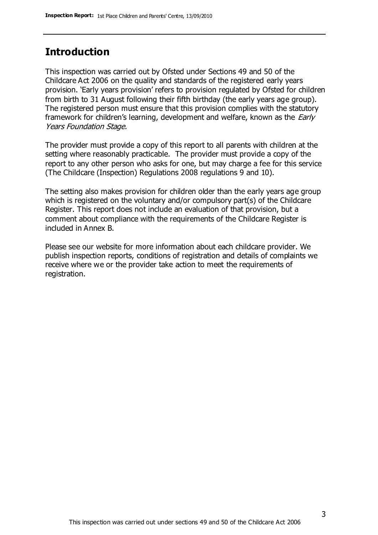### **Introduction**

This inspection was carried out by Ofsted under Sections 49 and 50 of the Childcare Act 2006 on the quality and standards of the registered early years provision. 'Early years provision' refers to provision regulated by Ofsted for children from birth to 31 August following their fifth birthday (the early years age group). The registered person must ensure that this provision complies with the statutory framework for children's learning, development and welfare, known as the *Early* Years Foundation Stage.

The provider must provide a copy of this report to all parents with children at the setting where reasonably practicable. The provider must provide a copy of the report to any other person who asks for one, but may charge a fee for this service (The Childcare (Inspection) Regulations 2008 regulations 9 and 10).

The setting also makes provision for children older than the early years age group which is registered on the voluntary and/or compulsory part(s) of the Childcare Register. This report does not include an evaluation of that provision, but a comment about compliance with the requirements of the Childcare Register is included in Annex B.

Please see our website for more information about each childcare provider. We publish inspection reports, conditions of registration and details of complaints we receive where we or the provider take action to meet the requirements of registration.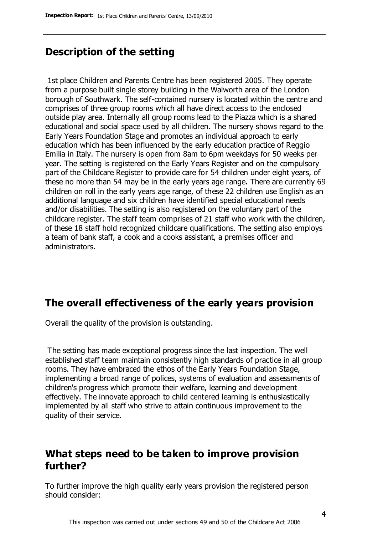# **Description of the setting**

1st place Children and Parents Centre has been registered 2005. They operate from a purpose built single storey building in the Walworth area of the London borough of Southwark. The self-contained nursery is located within the centre and comprises of three group rooms which all have direct access to the enclosed outside play area. Internally all group rooms lead to the Piazza which is a shared educational and social space used by all children. The nursery shows regard to the Early Years Foundation Stage and promotes an individual approach to early education which has been influenced by the early education practice of Reggio Emilia in Italy. The nursery is open from 8am to 6pm weekdays for 50 weeks per year. The setting is registered on the Early Years Register and on the compulsory part of the Childcare Register to provide care for 54 children under eight years, of these no more than 54 may be in the early years age range. There are currently 69 children on roll in the early years age range, of these 22 children use English as an additional language and six children have identified special educational needs and/or disabilities. The setting is also registered on the voluntary part of the childcare register. The staff team comprises of 21 staff who work with the children, of these 18 staff hold recognized childcare qualifications. The setting also employs a team of bank staff, a cook and a cooks assistant, a premises officer and administrators.

### **The overall effectiveness of the early years provision**

Overall the quality of the provision is outstanding.

The setting has made exceptional progress since the last inspection. The well established staff team maintain consistently high standards of practice in all group rooms. They have embraced the ethos of the Early Years Foundation Stage, implementing a broad range of polices, systems of evaluation and assessments of children's progress which promote their welfare, learning and development effectively. The innovate approach to child centered learning is enthusiastically implemented by all staff who strive to attain continuous improvement to the quality of their service.

## **What steps need to be taken to improve provision further?**

To further improve the high quality early years provision the registered person should consider: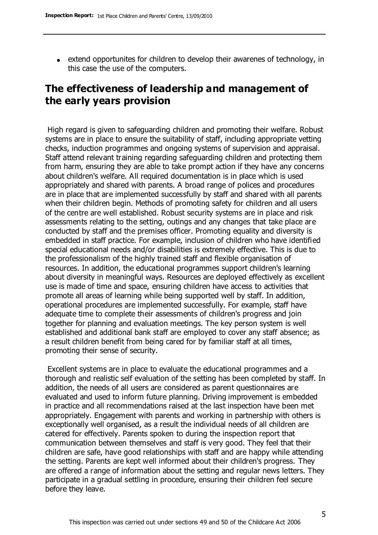extend opportunites for children to develop their awarenes of technology, in this case the use of the computers.

# **The effectiveness of leadership and management of the early years provision**

High regard is given to safeguarding children and promoting their welfare. Robust systems are in place to ensure the suitability of staff, including appropriate vetting checks, induction programmes and ongoing systems of supervision and appraisal. Staff attend relevant training regarding safeguarding children and protecting them from harm, ensuring they are able to take prompt action if they have any concerns about children's welfare. All required documentation is in place which is used appropriately and shared with parents. A broad range of polices and procedures are in place that are implemented successfully by staff and shared with all parents when their children begin. Methods of promoting safety for children and all users of the centre are well established. Robust security systems are in place and risk assessments relating to the setting, outings and any changes that take place are conducted by staff and the premises officer. Promoting equality and diversity is embedded in staff practice. For example, inclusion of children who have identified special educational needs and/or disabilities is extremely effective. This is due to the professionalism of the highly trained staff and flexible organisation of resources. In addition, the educational programmes support children's learning about diversity in meaningful ways. Resources are deployed effectively as excellent use is made of time and space, ensuring children have access to activities that promote all areas of learning while being supported well by staff. In addition, operational procedures are implemented successfully. For example, staff have adequate time to complete their assessments of children's progress and join together for planning and evaluation meetings. The key person system is well established and additional bank staff are employed to cover any staff absence; as a result children benefit from being cared for by familiar staff at all times, promoting their sense of security.

Excellent systems are in place to evaluate the educational programmes and a thorough and realistic self evaluation of the setting has been completed by staff. In addition, the needs of all users are considered as parent questionnaires are evaluated and used to inform future planning. Driving improvement is embedded in practice and all recommendations raised at the last inspection have been met appropriately. Engagement with parents and working in partnership with others is exceptionally well organised, as a result the individual needs of all children are catered for effectively. Parents spoken to during the inspection report that communication between themselves and staff is very good. They feel that their children are safe, have good relationships with staff and are happy while attending the setting. Parents are kept well informed about their children's progress. They are offered a range of information about the setting and regular news letters. They participate in a gradual settling in procedure, ensuring their children feel secure before they leave.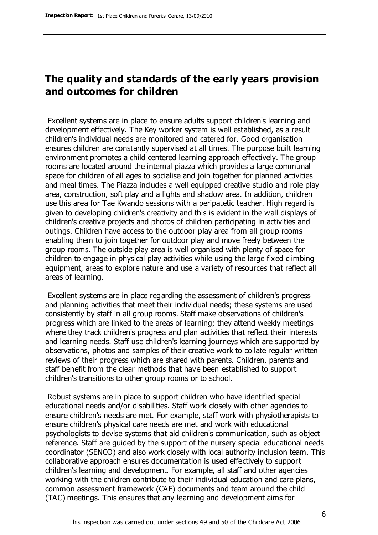# **The quality and standards of the early years provision and outcomes for children**

Excellent systems are in place to ensure adults support children's learning and development effectively. The Key worker system is well established, as a result children's individual needs are monitored and catered for. Good organisation ensures children are constantly supervised at all times. The purpose built learning environment promotes a child centered learning approach effectively. The group rooms are located around the internal piazza which provides a large communal space for children of all ages to socialise and join together for planned activities and meal times. The Piazza includes a well equipped creative studio and role play area, construction, soft play and a lights and shadow area. In addition, children use this area for Tae Kwando sessions with a peripatetic teacher. High regard is given to developing children's creativity and this is evident in the wall displays of children's creative projects and photos of children participating in activities and outings. Children have access to the outdoor play area from all group rooms enabling them to join together for outdoor play and move freely between the group rooms. The outside play area is well organised with plenty of space for children to engage in physical play activities while using the large fixed climbing equipment, areas to explore nature and use a variety of resources that reflect all areas of learning.

Excellent systems are in place regarding the assessment of children's progress and planning activities that meet their individual needs; these systems are used consistently by staff in all group rooms. Staff make observations of children's progress which are linked to the areas of learning; they attend weekly meetings where they track children's progress and plan activities that reflect their interests and learning needs. Staff use children's learning journeys which are supported by observations, photos and samples of their creative work to collate regular written reviews of their progress which are shared with parents. Children, parents and staff benefit from the clear methods that have been established to support children's transitions to other group rooms or to school.

Robust systems are in place to support children who have identified special educational needs and/or disabilities. Staff work closely with other agencies to ensure children's needs are met. For example, staff work with physiotherapists to ensure children's physical care needs are met and work with educational psychologists to devise systems that aid children's communication, such as object reference. Staff are guided by the support of the nursery special educational needs coordinator (SENCO) and also work closely with local authority inclusion team. This collaborative approach ensures documentation is used effectively to support children's learning and development. For example, all staff and other agencies working with the children contribute to their individual education and care plans, common assessment framework (CAF) documents and team around the child (TAC) meetings. This ensures that any learning and development aims for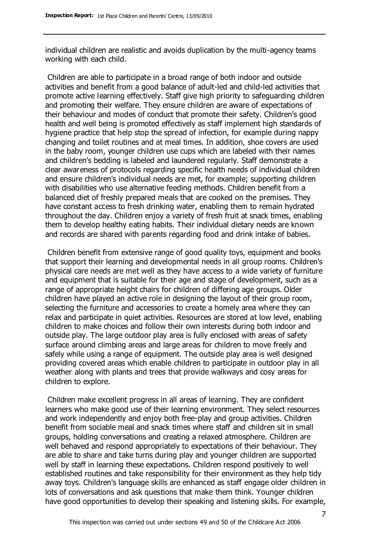individual children are realistic and avoids duplication by the multi-agency teams working with each child.

Children are able to participate in a broad range of both indoor and outside activities and benefit from a good balance of adult-led and child-led activities that promote active learning effectively. Staff give high priority to safeguarding children and promoting their welfare. They ensure children are aware of expectations of their behaviour and modes of conduct that promote their safety. Children's good health and well being is promoted effectively as staff implement high standards of hygiene practice that help stop the spread of infection, for example during nappy changing and toilet routines and at meal times. In addition, shoe covers are used in the baby room, younger children use cups which are labeled with their names and children's bedding is labeled and laundered regularly. Staff demonstrate a clear awareness of protocols regarding specific health needs of individual children and ensure children's individual needs are met, for example; supporting children with disabilities who use alternative feeding methods. Children benefit from a balanced diet of freshly prepared meals that are cooked on the premises. They have constant access to fresh drinking water, enabling them to remain hydrated throughout the day. Children enjoy a variety of fresh fruit at snack times, enabling them to develop healthy eating habits. Their individual dietary needs are known and records are shared with parents regarding food and drink intake of babies.

Children benefit from extensive range of good quality toys, equipment and books that support their learning and developmental needs in all group rooms. Children's physical care needs are met well as they have access to a wide variety of furniture and equipment that is suitable for their age and stage of development, such as a range of appropriate height chairs for children of differing age groups. Older children have played an active role in designing the layout of their group room, selecting the furniture and accessories to create a homely area where they can relax and participate in quiet activities. Resources are stored at low level, enabling children to make choices and follow their own interests during both indoor and outside play. The large outdoor play area is fully enclosed with areas of safety surface around climbing areas and large areas for children to move freely and safely while using a range of equipment. The outside play area is well designed providing covered areas which enable children to participate in outdoor play in all weather along with plants and trees that provide walkways and cosy areas for children to explore.

Children make excellent progress in all areas of learning. They are confident learners who make good use of their learning environment. They select resources and work independently and enjoy both free-play and group activities. Children benefit from sociable meal and snack times where staff and children sit in small groups, holding conversations and creating a relaxed atmosphere. Children are well behaved and respond appropriately to expectations of their behaviour. They are able to share and take turns during play and younger children are supported well by staff in learning these expectations. Children respond positively to well established routines and take responsibility for their environment as they help tidy away toys. Children's language skills are enhanced as staff engage older children in lots of conversations and ask questions that make them think. Younger children have good opportunities to develop their speaking and listening skills. For example,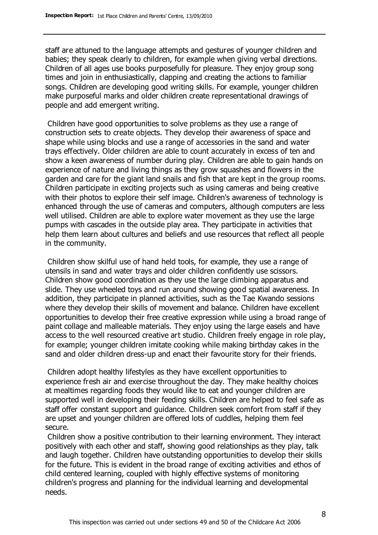staff are attuned to the language attempts and gestures of younger children and babies; they speak clearly to children, for example when giving verbal directions. Children of all ages use books purposefully for pleasure. They enjoy group song times and join in enthusiastically, clapping and creating the actions to familiar songs. Children are developing good writing skills. For example, younger children make purposeful marks and older children create representational drawings of people and add emergent writing.

Children have good opportunities to solve problems as they use a range of construction sets to create objects. They develop their awareness of space and shape while using blocks and use a range of accessories in the sand and water trays effectively. Older children are able to count accurately in excess of ten and show a keen awareness of number during play. Children are able to gain hands on experience of nature and living things as they grow squashes and flowers in the garden and care for the giant land snails and fish that are kept in the group rooms. Children participate in exciting projects such as using cameras and being creative with their photos to explore their self image. Children's awareness of technology is enhanced through the use of cameras and computers, although computers are less well utilised. Children are able to explore water movement as they use the large pumps with cascades in the outside play area. They participate in activities that help them learn about cultures and beliefs and use resources that reflect all people in the community.

Children show skilful use of hand held tools, for example, they use a range of utensils in sand and water trays and older children confidently use scissors. Children show good coordination as they use the large climbing apparatus and slide. They use wheeled toys and run around showing good spatial awareness. In addition, they participate in planned activities, such as the Tae Kwando sessions where they develop their skills of movement and balance. Children have excellent opportunities to develop their free creative expression while using a broad range of paint collage and malleable materials. They enjoy using the large easels and have access to the well resourced creative art studio. Children freely engage in role play, for example; younger children imitate cooking while making birthday cakes in the sand and older children dress-up and enact their favourite story for their friends.

Children adopt healthy lifestyles as they have excellent opportunities to experience fresh air and exercise throughout the day. They make healthy choices at mealtimes regarding foods they would like to eat and younger children are supported well in developing their feeding skills. Children are helped to feel safe as staff offer constant support and guidance. Children seek comfort from staff if they are upset and younger children are offered lots of cuddles, helping them feel secure.

Children show a positive contribution to their learning environment. They interact positively with each other and staff, showing good relationships as they play, talk and laugh together. Children have outstanding opportunities to develop their skills for the future. This is evident in the broad range of exciting activities and ethos of child centered learning, coupled with highly effective systems of monitoring children's progress and planning for the individual learning and developmental needs.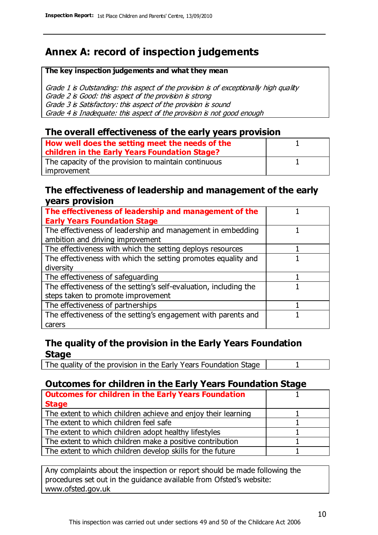# **Annex A: record of inspection judgements**

#### **The key inspection judgements and what they mean**

Grade 1 is Outstanding: this aspect of the provision is of exceptionally high quality Grade 2 is Good: this aspect of the provision is strong Grade 3 is Satisfactory: this aspect of the provision is sound Grade 4 is Inadequate: this aspect of the provision is not good enough

#### **The overall effectiveness of the early years provision**

| How well does the setting meet the needs of the<br>children in the Early Years Foundation Stage? |  |
|--------------------------------------------------------------------------------------------------|--|
| The capacity of the provision to maintain continuous                                             |  |
| improvement                                                                                      |  |

#### **The effectiveness of leadership and management of the early years provision**

| The effectiveness of leadership and management of the                                           |  |
|-------------------------------------------------------------------------------------------------|--|
| <b>Early Years Foundation Stage</b>                                                             |  |
| The effectiveness of leadership and management in embedding<br>ambition and driving improvement |  |
|                                                                                                 |  |
| The effectiveness with which the setting deploys resources                                      |  |
| The effectiveness with which the setting promotes equality and                                  |  |
| diversity                                                                                       |  |
| The effectiveness of safeguarding                                                               |  |
| The effectiveness of the setting's self-evaluation, including the                               |  |
| steps taken to promote improvement                                                              |  |
| The effectiveness of partnerships                                                               |  |
| The effectiveness of the setting's engagement with parents and                                  |  |
| carers                                                                                          |  |

#### **The quality of the provision in the Early Years Foundation Stage**

The quality of the provision in the Early Years Foundation Stage | 1

#### **Outcomes for children in the Early Years Foundation Stage**

| <b>Outcomes for children in the Early Years Foundation</b>    |  |
|---------------------------------------------------------------|--|
| <b>Stage</b>                                                  |  |
| The extent to which children achieve and enjoy their learning |  |
| The extent to which children feel safe                        |  |
| The extent to which children adopt healthy lifestyles         |  |
| The extent to which children make a positive contribution     |  |
| The extent to which children develop skills for the future    |  |

Any complaints about the inspection or report should be made following the procedures set out in the guidance available from Ofsted's website: www.ofsted.gov.uk